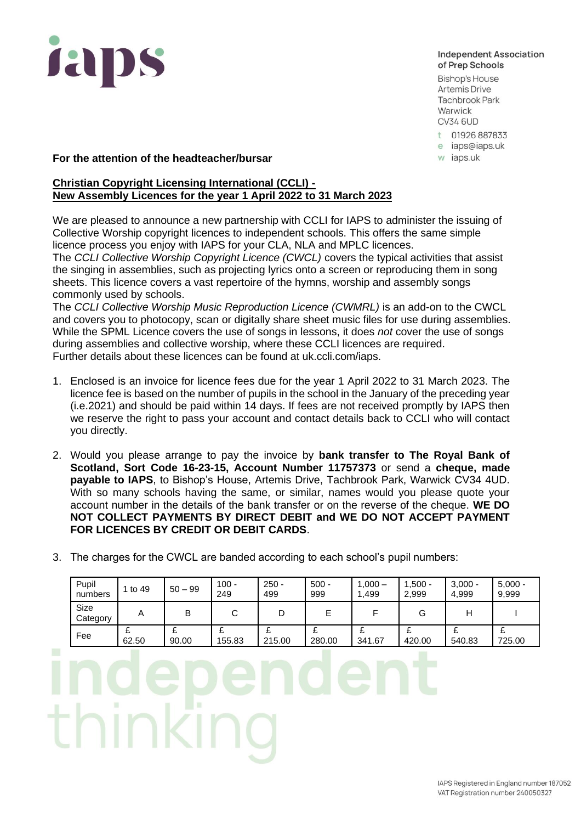

## **Independent Association** of Prep Schools

**Bishop's House Artemis Drive Tachbrook Park** Warwick **CV34 6UD** 

- t 01926 887833
- e iaps@iaps.uk
- w iaps.uk

## **For the attention of the headteacher/bursar**

## **Christian Copyright Licensing International (CCLI) - New Assembly Licences for the year 1 April 2022 to 31 March 2023**

We are pleased to announce a new partnership with CCLI for IAPS to administer the issuing of Collective Worship copyright licences to independent schools. This offers the same simple licence process you enjoy with IAPS for your CLA, NLA and MPLC licences.

The *CCLI Collective Worship Copyright Licence (CWCL)* covers the typical activities that assist the singing in assemblies, such as projecting lyrics onto a screen or reproducing them in song sheets. This licence covers a vast repertoire of the hymns, worship and assembly songs commonly used by schools.

The *CCLI Collective Worship Music Reproduction Licence (CWMRL)* is an add-on to the CWCL and covers you to photocopy, scan or digitally share sheet music files for use during assemblies. While the SPML Licence covers the use of songs in lessons, it does *not* cover the use of songs during assemblies and collective worship, where these CCLI licences are required. Further details about these licences can be found at uk.ccli.com/iaps.

- 1. Enclosed is an invoice for licence fees due for the year 1 April 2022 to 31 March 2023. The licence fee is based on the number of pupils in the school in the January of the preceding year (i.e.2021) and should be paid within 14 days. If fees are not received promptly by IAPS then we reserve the right to pass your account and contact details back to CCLI who will contact you directly.
- 2. Would you please arrange to pay the invoice by **bank transfer to The Royal Bank of Scotland, Sort Code 16-23-15, Account Number 11757373** or send a **cheque, made payable to IAPS**, to Bishop's House, Artemis Drive, Tachbrook Park, Warwick CV34 4UD. With so many schools having the same, or similar, names would you please quote your account number in the details of the bank transfer or on the reverse of the cheque. **WE DO NOT COLLECT PAYMENTS BY DIRECT DEBIT and WE DO NOT ACCEPT PAYMENT FOR LICENCES BY CREDIT OR DEBIT CARDS**.
- 3. The charges for the CWCL are banded according to each school's pupil numbers:

| Pupil<br>numbers        | 1 to 49 | $50 - 99$ | $100 -$<br>249    | $250 -$<br>499 | $500 -$<br>999 | $1,000 -$<br>1,499 | $.500 -$<br>2,999 | $3,000 -$<br>4,999 | $5,000 -$<br>9,999 |
|-------------------------|---------|-----------|-------------------|----------------|----------------|--------------------|-------------------|--------------------|--------------------|
| <b>Size</b><br>Category | A       | B         | ⌒<br>ັ            |                | E              |                    | G                 | Н                  |                    |
| Fee                     | 62.50   | 90.00     | c<br>z.<br>155.83 | 215.00         | 280.00         | 341.67             | 420.00            | 540.83             | 725.00             |